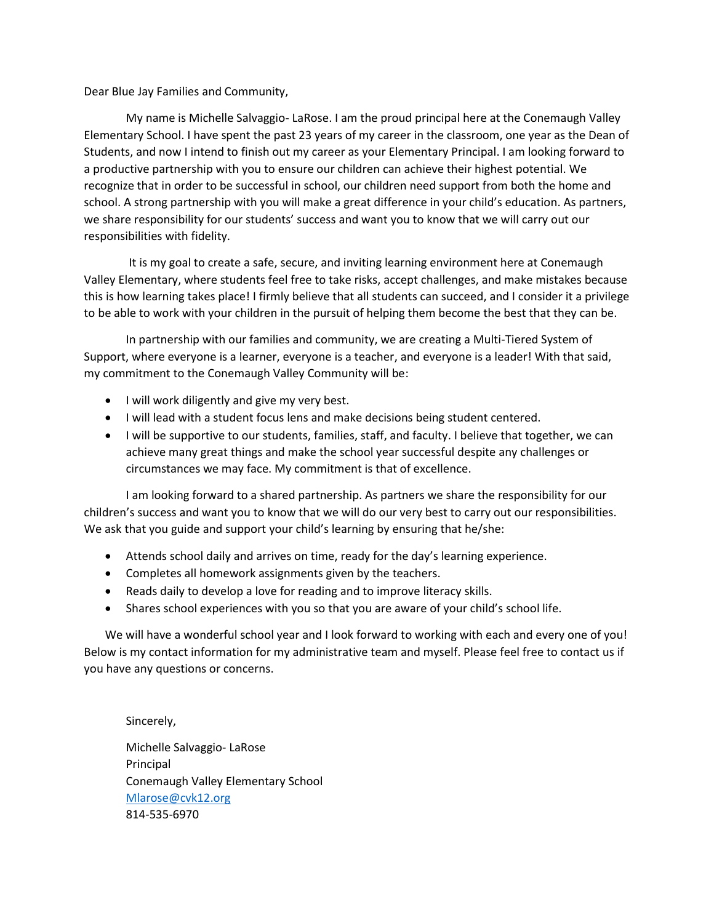Dear Blue Jay Families and Community,

 My name is Michelle Salvaggio- LaRose. I am the proud principal here at the Conemaugh Valley Elementary School. I have spent the past 23 years of my career in the classroom, one year as the Dean of Students, and now I intend to finish out my career as your Elementary Principal. I am looking forward to a productive partnership with you to ensure our children can achieve their highest potential. We recognize that in order to be successful in school, our children need support from both the home and school. A strong partnership with you will make a great difference in your child's education. As partners, we share responsibility for our students' success and want you to know that we will carry out our responsibilities with fidelity.

It is my goal to create a safe, secure, and inviting learning environment here at Conemaugh Valley Elementary, where students feel free to take risks, accept challenges, and make mistakes because this is how learning takes place! I firmly believe that all students can succeed, and I consider it a privilege to be able to work with your children in the pursuit of helping them become the best that they can be.

In partnership with our families and community, we are creating a Multi-Tiered System of Support, where everyone is a learner, everyone is a teacher, and everyone is a leader! With that said, my commitment to the Conemaugh Valley Community will be:

- I will work diligently and give my very best.
- I will lead with a student focus lens and make decisions being student centered.
- I will be supportive to our students, families, staff, and faculty. I believe that together, we can achieve many great things and make the school year successful despite any challenges or circumstances we may face. My commitment is that of excellence.

I am looking forward to a shared partnership. As partners we share the responsibility for our children's success and want you to know that we will do our very best to carry out our responsibilities. We ask that you guide and support your child's learning by ensuring that he/she:

- Attends school daily and arrives on time, ready for the day's learning experience.
- Completes all homework assignments given by the teachers.
- Reads daily to develop a love for reading and to improve literacy skills.
- Shares school experiences with you so that you are aware of your child's school life.

We will have a wonderful school year and I look forward to working with each and every one of you! Below is my contact information for my administrative team and myself. Please feel free to contact us if you have any questions or concerns.

Sincerely, Michelle Salvaggio- LaRose Principal Conemaugh Valley Elementary School [Mlarose@cvk12.org](mailto:Mlarose@cvk12.org) 814-535-6970